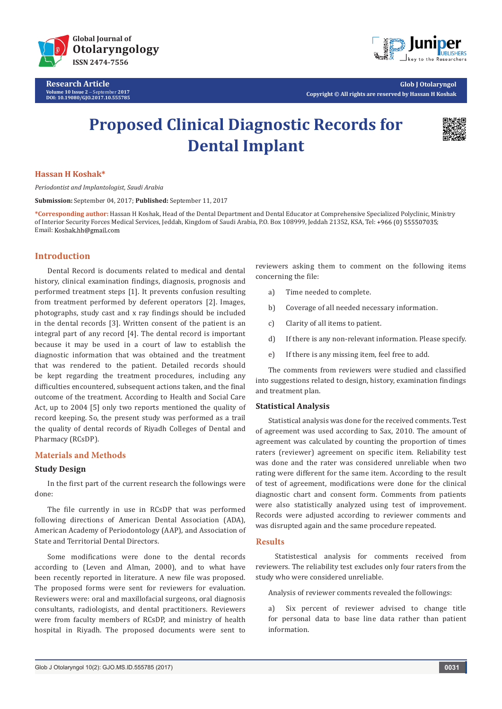

**Research Article Volume 10 Issue 2** - September **2017 DOI: [10.19080/GJO.2017.10.555785](http://dx.doi.org/10.19080/GJO.2017.10.555785)**



**Glob J Otolaryngol Copyright © All rights are reserved by Hassan H Koshak**

# **Proposed Clinical Diagnostic Records for Dental Implant**



## **Hassan H Koshak\***

*Periodontist and Implantologist, Saudi Arabia* 

**Submission:** September 04, 2017; **Published:** September 11, 2017

**\*Corresponding author:** Hassan H Koshak, Head of the Dental Department and Dental Educator at Comprehensive Specialized Polyclinic, Ministry of Interior Security Forces Medical Services, Jeddah, Kingdom of Saudi Arabia, P.O. Box 108999, Jeddah 21352, KSA, Tel: ; Email: Koshak.hh@gmail.com

## **Introduction**

Dental Record is documents related to medical and dental history, clinical examination findings, diagnosis, prognosis and performed treatment steps [1]. It prevents confusion resulting from treatment performed by deferent operators [2]. Images, photographs, study cast and x ray findings should be included in the dental records [3]. Written consent of the patient is an integral part of any record [4]. The dental record is important because it may be used in a court of law to establish the diagnostic information that was obtained and the treatment that was rendered to the patient. Detailed records should be kept regarding the treatment procedures, including any difficulties encountered, subsequent actions taken, and the final outcome of the treatment. According to Health and Social Care Act, up to 2004 [5] only two reports mentioned the quality of record keeping. So, the present study was performed as a trail the quality of dental records of Riyadh Colleges of Dental and Pharmacy (RCsDP).

## **Materials and Methods**

### **Study Design**

In the first part of the current research the followings were done:

The file currently in use in RCsDP that was performed following directions of American Dental Association (ADA), American Academy of Periodontology (AAP), and Association of State and Territorial Dental Directors.

Some modifications were done to the dental records according to (Leven and Alman, 2000), and to what have been recently reported in literature. A new file was proposed. The proposed forms were sent for reviewers for evaluation. Reviewers were: oral and maxillofacial surgeons, oral diagnosis consultants, radiologists, and dental practitioners. Reviewers were from faculty members of RCsDP, and ministry of health hospital in Riyadh. The proposed documents were sent to

reviewers asking them to comment on the following items concerning the file:

- a) Time needed to complete.
- b) Coverage of all needed necessary information.
- c) Clarity of all items to patient.
- d) If there is any non-relevant information. Please specify.
- e) If there is any missing item, feel free to add.

The comments from reviewers were studied and classified into suggestions related to design, history, examination findings and treatment plan.

### **Statistical Analysis**

Statistical analysis was done for the received comments. Test of agreement was used according to Sax, 2010. The amount of agreement was calculated by counting the proportion of times raters (reviewer) agreement on specific item. Reliability test was done and the rater was considered unreliable when two rating were different for the same item. According to the result of test of agreement, modifications were done for the clinical diagnostic chart and consent form. Comments from patients were also statistically analyzed using test of improvement. Records were adjusted according to reviewer comments and was disrupted again and the same procedure repeated.

### **Results**

 Statistestical analysis for comments received from reviewers. The reliability test excludes only four raters from the study who were considered unreliable.

Analysis of reviewer comments revealed the followings:

a) Six percent of reviewer advised to change title for personal data to base line data rather than patient information.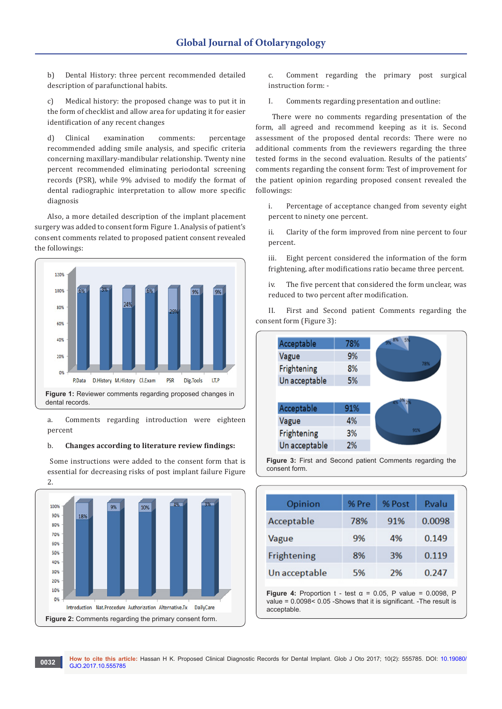b) Dental History: three percent recommended detailed description of parafunctional habits.

c) Medical history: the proposed change was to put it in the form of checklist and allow area for updating it for easier identification of any recent changes

d) Clinical examination comments: percentage recommended adding smile analysis, and specific criteria concerning maxillary-mandibular relationship. Twenty nine percent recommended eliminating periodontal screening records (PSR), while 9% advised to modify the format of dental radiographic interpretation to allow more specific diagnosis

Also, a more detailed description of the implant placement surgery was added to consent form Figure 1. Analysis of patient's consent comments related to proposed patient consent revealed the followings:



a. Comments regarding introduction were eighteen percent

#### b. **Changes according to literature review findings:**

 Some instructions were added to the consent form that is essential for decreasing risks of post implant failure Figure 2.



c. Comment regarding the primary post surgical instruction form: -

I. Comments regarding presentation and outline:

 There were no comments regarding presentation of the form, all agreed and recommend keeping as it is. Second assessment of the proposed dental records: There were no additional comments from the reviewers regarding the three tested forms in the second evaluation. Results of the patients' comments regarding the consent form: Test of improvement for the patient opinion regarding proposed consent revealed the followings:

i. Percentage of acceptance changed from seventy eight percent to ninety one percent.

ii. Clarity of the form improved from nine percent to four percent.

iii. Eight percent considered the information of the form frightening, after modifications ratio became three percent.

iv. The five percent that considered the form unclear, was reduced to two percent after modification.

II. First and Second patient Comments regarding the consent form (Figure 3):

| Acceptable    | 78% | 5%<br>9% 8% |
|---------------|-----|-------------|
| Vague         | 9%  |             |
| Frightening   | 8%  | 78%         |
| Un acceptable | 5%  |             |
|               |     |             |
|               |     |             |
| Acceptable    | 91% |             |
| Vague         | 4%  |             |
| Frightening   | 3%  | 91%         |

**Figure 3:** First and Second patient Comments regarding the consent form.

| Opinion       | % Pre | % Post | Pvalu  |
|---------------|-------|--------|--------|
| Acceptable    | 78%   | 91%    | 0.0098 |
| Vague         | 9%    | 4%     | 0.149  |
| Frightening   | 8%    | 3%     | 0.119  |
| Un acceptable | 5%    | 2%     | 0.247  |

**Figure 4:** Proportion  $t - \text{test } \alpha = 0.05$ , P value = 0.0098, P value = 0.0098< 0.05 -Shows that it is significant. -The result is acceptable.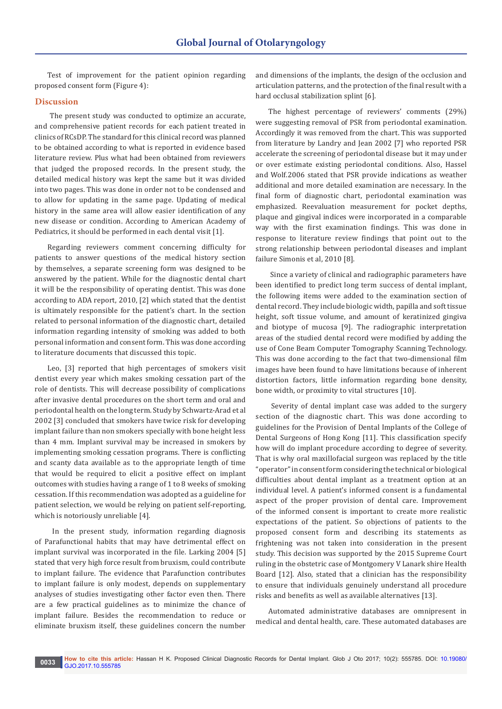Test of improvement for the patient opinion regarding proposed consent form (Figure 4):

### **Discussion**

 The present study was conducted to optimize an accurate, and comprehensive patient records for each patient treated in clinics of RCsDP. The standard for this clinical record was planned to be obtained according to what is reported in evidence based literature review. Plus what had been obtained from reviewers that judged the proposed records. In the present study, the detailed medical history was kept the same but it was divided into two pages. This was done in order not to be condensed and to allow for updating in the same page. Updating of medical history in the same area will allow easier identification of any new disease or condition. According to American Academy of Pediatrics, it should be performed in each dental visit [1].

Regarding reviewers comment concerning difficulty for patients to answer questions of the medical history section by themselves, a separate screening form was designed to be answered by the patient. While for the diagnostic dental chart it will be the responsibility of operating dentist. This was done according to ADA report, 2010, [2] which stated that the dentist is ultimately responsible for the patient's chart. In the section related to personal information of the diagnostic chart, detailed information regarding intensity of smoking was added to both personal information and consent form. This was done according to literature documents that discussed this topic.

Leo, [3] reported that high percentages of smokers visit dentist every year which makes smoking cessation part of the role of dentists. This will decrease possibility of complications after invasive dental procedures on the short term and oral and periodontal health on the long term. Study by Schwartz-Arad et al 2002 [3] concluded that smokers have twice risk for developing implant failure than non smokers specially with bone height less than 4 mm. Implant survival may be increased in smokers by implementing smoking cessation programs. There is conflicting and scanty data available as to the appropriate length of time that would be required to elicit a positive effect on implant outcomes with studies having a range of 1 to 8 weeks of smoking cessation. If this recommendation was adopted as a guideline for patient selection, we would be relying on patient self-reporting, which is notoriously unreliable [4].

 In the present study, information regarding diagnosis of Parafunctional habits that may have detrimental effect on implant survival was incorporated in the file. Larking 2004 [5] stated that very high force result from bruxism, could contribute to implant failure. The evidence that Parafunction contributes to implant failure is only modest, depends on supplementary analyses of studies investigating other factor even then. There are a few practical guidelines as to minimize the chance of implant failure. Besides the recommendation to reduce or eliminate bruxism itself, these guidelines concern the number

and dimensions of the implants, the design of the occlusion and articulation patterns, and the protection of the final result with a hard occlusal stabilization splint [6].

The highest percentage of reviewers' comments (29%) were suggesting removal of PSR from periodontal examination. Accordingly it was removed from the chart. This was supported from literature by Landry and Jean 2002 [7] who reported PSR accelerate the screening of periodontal disease but it may under or over estimate existing periodontal conditions. Also, Hassel and Wolf.2006 stated that PSR provide indications as weather additional and more detailed examination are necessary. In the final form of diagnostic chart, periodontal examination was emphasized. Reevaluation measurement for pocket depths, plaque and gingival indices were incorporated in a comparable way with the first examination findings. This was done in response to literature review findings that point out to the strong relationship between periodontal diseases and implant failure Simonis et al, 2010 [8].

 Since a variety of clinical and radiographic parameters have been identified to predict long term success of dental implant, the following items were added to the examination section of dental record. They include biologic width, papilla and soft tissue height, soft tissue volume, and amount of keratinized gingiva and biotype of mucosa [9]. The radiographic interpretation areas of the studied dental record were modified by adding the use of Cone Beam Computer Tomography Scanning Technology. This was done according to the fact that two-dimensional film images have been found to have limitations because of inherent distortion factors, little information regarding bone density, bone width, or proximity to vital structures [10].

 Severity of dental implant case was added to the surgery section of the diagnostic chart. This was done according to guidelines for the Provision of Dental Implants of the College of Dental Surgeons of Hong Kong [11]. This classification specify how will do implant procedure according to degree of severity. That is why oral maxillofacial surgeon was replaced by the title "operator" in consent form considering the technical or biological difficulties about dental implant as a treatment option at an individual level. A patient's informed consent is a fundamental aspect of the proper provision of dental care. Improvement of the informed consent is important to create more realistic expectations of the patient. So objections of patients to the proposed consent form and describing its statements as frightening was not taken into consideration in the present study. This decision was supported by the 2015 Supreme Court ruling in the obstetric case of Montgomery V Lanark shire Health Board [12]. Also, stated that a clinician has the responsibility to ensure that individuals genuinely understand all procedure risks and benefits as well as available alternatives [13].

Automated administrative databases are omnipresent in medical and dental health, care. These automated databases are